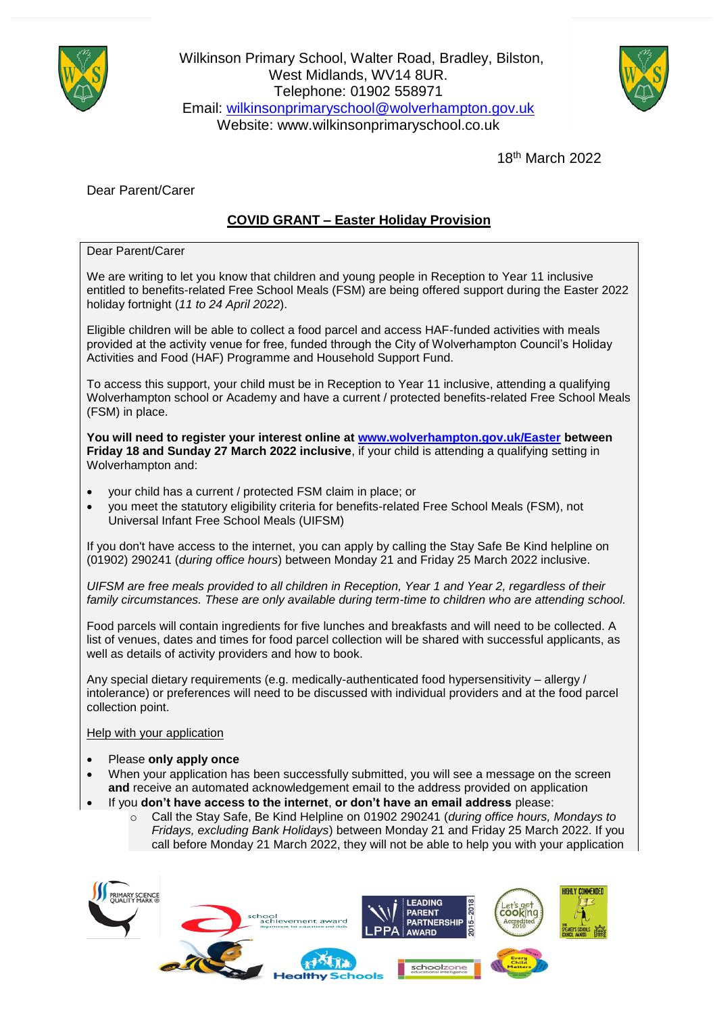

Wilkinson Primary School, Walter Road, Bradley, Bilston, West Midlands, WV14 8UR. Telephone: 01902 558971 Email: [wilkinsonprimaryschool@wolverhampton.gov.uk](mailto:wilkinsonprimaryschool@wolverhampton.gov.uk) Website: www.wilkinsonprimaryschool.co.uk



18th March 2022

Dear Parent/Carer

## **COVID GRANT – Easter Holiday Provision**

Dear Parent/Carer

We are writing to let you know that children and young people in Reception to Year 11 inclusive entitled to benefits-related Free School Meals (FSM) are being offered support during the Easter 2022 holiday fortnight (*11 to 24 April 2022*).

Eligible children will be able to collect a food parcel and access HAF-funded activities with meals provided at the activity venue for free, funded through the City of Wolverhampton Council's Holiday Activities and Food (HAF) Programme and Household Support Fund.

To access this support, your child must be in Reception to Year 11 inclusive, attending a qualifying Wolverhampton school or Academy and have a current / protected benefits-related Free School Meals (FSM) in place.

**You will need to register your interest online at [www.wolverhampton.gov.uk/Easter](http://www.wolverhampton.gov.uk/Easter) between Friday 18 and Sunday 27 March 2022 inclusive**, if your child is attending a qualifying setting in Wolverhampton and:

- your child has a current / protected FSM claim in place; or
- you meet the statutory eligibility criteria for benefits-related Free School Meals (FSM), not Universal Infant Free School Meals (UIFSM)

If you don't have access to the internet, you can apply by calling the Stay Safe Be Kind helpline on (01902) 290241 (*during office hours*) between Monday 21 and Friday 25 March 2022 inclusive.

*UIFSM are free meals provided to all children in Reception, Year 1 and Year 2, regardless of their family circumstances. These are only available during term-time to children who are attending school.*

Food parcels will contain ingredients for five lunches and breakfasts and will need to be collected. A list of venues, dates and times for food parcel collection will be shared with successful applicants, as well as details of activity providers and how to book.

Any special dietary requirements (e.g. medically-authenticated food hypersensitivity – allergy / intolerance) or preferences will need to be discussed with individual providers and at the food parcel collection point.

Help with your application

- Please **only apply once**
- When your application has been successfully submitted, you will see a message on the screen **and** receive an automated acknowledgement email to the address provided on application
- If you **don't have access to the internet**, **or don't have an email address** please:
	- o Call the Stay Safe, Be Kind Helpline on 01902 290241 (*during office hours, Mondays to Fridays, excluding Bank Holidays*) between Monday 21 and Friday 25 March 2022. If you call before Monday 21 March 2022, they will not be able to help you with your application